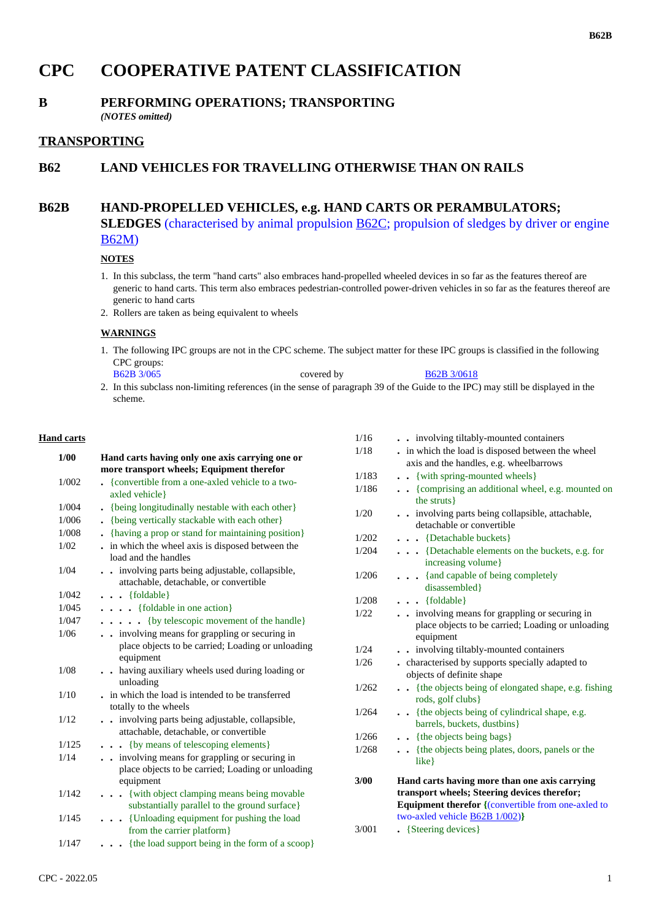# **CPC COOPERATIVE PATENT CLASSIFICATION**

## **B PERFORMING OPERATIONS; TRANSPORTING** *(NOTES omitted)*

## **TRANSPORTING**

# **B62 LAND VEHICLES FOR TRAVELLING OTHERWISE THAN ON RAILS**

# **B62B HAND-PROPELLED VEHICLES, e.g. HAND CARTS OR PERAMBULATORS;**

**SLEDGES** (characterised by animal propulsion **B62C**; propulsion of sledges by driver or engine B62M)

### **NOTES**

- 1. In this subclass, the term "hand carts" also embraces hand-propelled wheeled devices in so far as the features thereof are generic to hand carts. This term also embraces pedestrian-controlled power-driven vehicles in so far as the features thereof are generic to hand carts
- 2. Rollers are taken as being equivalent to wheels

### **WARNINGS**

- 1. The following IPC groups are not in the CPC scheme. The subject matter for these IPC groups is classified in the following CPC groups: B62B 3/065 covered by B62B 3/0618
- 2. In this subclass non-limiting references (in the sense of paragraph 39 of the Guide to the IPC) may still be displayed in the scheme.

#### **Hand carts**

| 1/00  | Hand carts having only one axis carrying one or                                                                                        |
|-------|----------------------------------------------------------------------------------------------------------------------------------------|
|       | more transport wheels; Equipment therefor                                                                                              |
| 1/002 | {convertible from a one-axled vehicle to a two-<br>axled vehicle}                                                                      |
| 1/004 | {being longitudinally nestable with each other}                                                                                        |
| 1/006 | {being vertically stackable with each other}                                                                                           |
| 1/008 | {having a prop or stand for maintaining position}                                                                                      |
| 1/02  | . in which the wheel axis is disposed between the<br>load and the handles                                                              |
| 1/04  | . . involving parts being adjustable, collapsible,<br>attachable, detachable, or convertible                                           |
| 1/042 | $\ldots$ {foldable}                                                                                                                    |
| 1/045 | $\ldots$ (foldable in one action)                                                                                                      |
| 1/047 | $\ldots$ $\ldots$ { by telescopic movement of the handle}                                                                              |
| 1/06  | involving means for grappling or securing in<br>place objects to be carried; Loading or unloading<br>equipment                         |
| 1/08  | having auxiliary wheels used during loading or<br>unloading                                                                            |
| 1/10  | in which the load is intended to be transferred<br>totally to the wheels                                                               |
| 1/12  | involving parts being adjustable, collapsible,<br>attachable, detachable, or convertible                                               |
| 1/125 | . {by means of telescoping elements}                                                                                                   |
| 1/14  | involving means for grappling or securing in<br>$\ddot{\phantom{0}}$<br>place objects to be carried; Loading or unloading<br>equipment |
| 1/142 | {with object clamping means being movable<br>substantially parallel to the ground surface}                                             |
| 1/145 | {Unloading equipment for pushing the load<br>.<br>from the carrier platform}                                                           |
| 1/147 | {the load support being in the form of a scoop}                                                                                        |

| 1/18  | . in which the load is disposed between the wheel                                                              |
|-------|----------------------------------------------------------------------------------------------------------------|
|       | axis and the handles, e.g. wheelbarrows                                                                        |
| 1/183 | . . {with spring-mounted wheels}                                                                               |
| 1/186 | • · {comprising an additional wheel, e.g. mounted on<br>the struts }                                           |
| 1/20  | involving parts being collapsible, attachable,<br>detachable or convertible                                    |
| 1/202 | . {Detachable buckets}                                                                                         |
| 1/204 | • • {Detachable elements on the buckets, e.g. for<br>increasing volume}                                        |
| 1/206 | {and capable of being completely<br>disassembled }                                                             |
| 1/208 | $\ldots$ {foldable}                                                                                            |
| 1/22  | involving means for grappling or securing in<br>place objects to be carried; Loading or unloading<br>equipment |
| 1/24  | involving tiltably-mounted containers                                                                          |
| 1/26  | . characterised by supports specially adapted to<br>objects of definite shape                                  |
| 1/262 | {the objects being of elongated shape, e.g. fishing<br>rods, golf clubs}                                       |
| 1/264 | {the objects being of cylindrical shape, e.g.<br>barrels, buckets, dustbins}                                   |
| 1/266 | . {the objects being bags}                                                                                     |
| 1/268 | {the objects being plates, doors, panels or the<br>$like$ }                                                    |
| 3/00  | Hand carts having more than one axis carrying                                                                  |
|       | transport wheels; Steering devices therefor;<br><b>Equipment therefor {(convertible from one-axled to</b>      |
|       | two-axled vehicle B62B 1/002)}                                                                                 |
| 3/001 | • {Steering devices}                                                                                           |
|       |                                                                                                                |

1/16 **. .** involving tiltably-mounted containers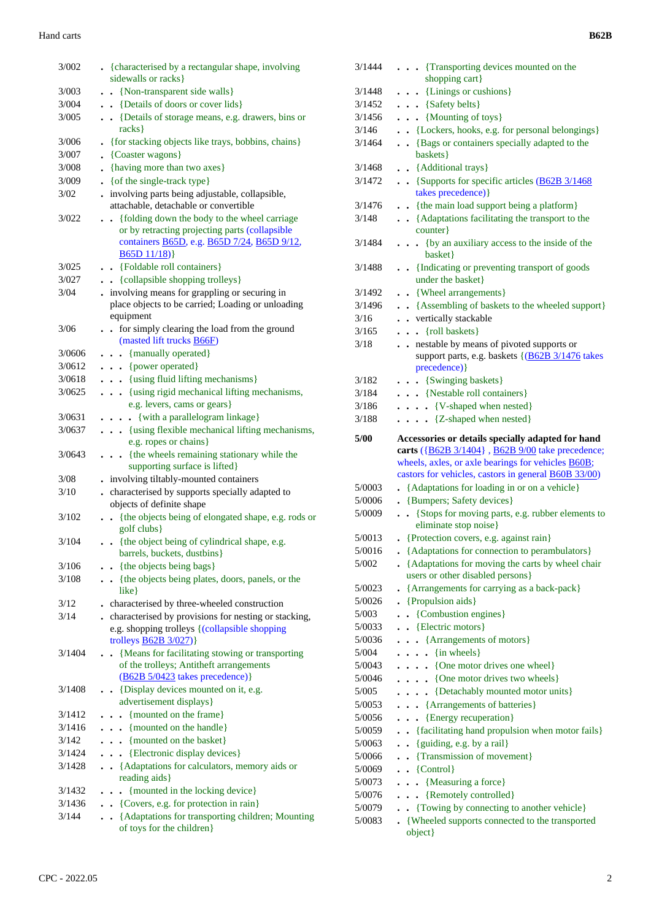#### Hand carts **B62B**

| 3/002  | • {characterised by a rectangular shape, involving<br>sidewalls or racks}   |
|--------|-----------------------------------------------------------------------------|
| 3/003  | . . {Non-transparent side walls}                                            |
| 3/004  | . Details of doors or cover lids                                            |
| 3/005  | Details of storage means, e.g. drawers, bins or                             |
|        | racks }                                                                     |
| 3/006  | . {for stacking objects like trays, bobbins, chains}                        |
| 3/007  | • {Coaster wagons}                                                          |
| 3/008  | . {having more than two axes}                                               |
| 3/009  | $\bullet$ { of the single-track type}                                       |
| 3/02   | involving parts being adjustable, collapsible,                              |
|        | attachable, detachable or convertible                                       |
| 3/022  | {folding down the body to the wheel carriage<br>$\ddot{\phantom{0}}$        |
|        | or by retracting projecting parts (collapsible                              |
|        | containers <b>B65D</b> , e.g. <b>B65D</b> 7/24, <b>B65D</b> 9/12,           |
|        | $B65D11/18$ }                                                               |
| 3/025  | . . {Foldable roll containers}                                              |
| 3/027  | . . {collapsible shopping trolleys}                                         |
| 3/04   | . involving means for grappling or securing in                              |
|        | place objects to be carried; Loading or unloading                           |
|        | equipment                                                                   |
| 3/06   | for simply clearing the load from the ground                                |
|        | (masted lift trucks <b>B66F</b> )                                           |
| 3/0606 | . . {manually operated}                                                     |
| 3/0612 | . . {power operated}                                                        |
| 3/0618 | . {using fluid lifting mechanisms}                                          |
| 3/0625 | . {using rigid mechanical lifting mechanisms,                               |
|        | e.g. levers, cams or gears}                                                 |
| 3/0631 | . {with a parallelogram linkage}                                            |
| 3/0637 | {using flexible mechanical lifting mechanisms,                              |
|        | e.g. ropes or chains}                                                       |
| 3/0643 | . {the wheels remaining stationary while the                                |
|        | supporting surface is lifted}                                               |
| 3/08   | . involving tiltably-mounted containers                                     |
| 3/10   | . characterised by supports specially adapted to                            |
|        | objects of definite shape                                                   |
| 3/102  | • {the objects being of elongated shape, e.g. rods or                       |
|        | golf clubs}                                                                 |
| 3/104  | {the object being of cylindrical shape, e.g.<br>barrels, buckets, dustbins} |
| 3/106  | {the objects being bags}                                                    |
| 3/108  | {the objects being plates, doors, panels, or the                            |
|        | $like$ }                                                                    |
| 3/12   | characterised by three-wheeled construction<br>$\ddot{\phantom{0}}$         |
| 3/14   | . characterised by provisions for nesting or stacking,                      |
|        | e.g. shopping trolleys {(collapsible shopping                               |
|        | trolleys $B62B3/027$ }                                                      |
| 3/1404 | {Means for facilitating stowing or transporting<br>$\ddotsc$                |
|        | of the trolleys; Antitheft arrangements                                     |
|        | $(B62B 5/0423$ takes precedence)}                                           |
| 3/1408 | . Display devices mounted on it, e.g.                                       |
|        | advertisement displays}                                                     |
| 3/1412 | . {mounted on the frame}                                                    |
| 3/1416 | $\bullet$ $\bullet$ {mounted on the handle}                                 |
| 3/142  | {mounted on the basket}                                                     |
| 3/1424 | . . {Electronic display devices}                                            |
| 3/1428 | • · {Adaptations for calculators, memory aids or                            |
|        | reading aids}                                                               |
| 3/1432 | {mounted in the locking device}                                             |
| 3/1436 | . . {Covers, e.g. for protection in rain}                                   |
| 3/144  | {Adaptations for transporting children; Mounting<br>$\ddot{\phantom{0}}$    |

| 3/1448 | $\bullet$ $\bullet$ {Linings or cushions}                                                                     |
|--------|---------------------------------------------------------------------------------------------------------------|
| 3/1452 | . . {Safety belts}                                                                                            |
| 3/1456 | $\bullet$ $\bullet$ {Mounting of toys}                                                                        |
| 3/146  | • {Lockers, hooks, e.g. for personal belongings}                                                              |
| 3/1464 | . {Bags or containers specially adapted to the                                                                |
|        | baskets}                                                                                                      |
| 3/1468 | . . {Additional trays}                                                                                        |
| 3/1472 | . . {Supports for specific articles (B62B 3/1468)                                                             |
|        | takes precedence) }                                                                                           |
| 3/1476 | • {the main load support being a platform}                                                                    |
| 3/148  | • • {Adaptations facilitating the transport to the                                                            |
|        | counter}                                                                                                      |
| 3/1484 | (by an auxiliary access to the inside of the<br>$\cdots$                                                      |
|        | basket}                                                                                                       |
| 3/1488 | . {Indicating or preventing transport of goods                                                                |
|        | under the basket}                                                                                             |
| 3/1492 | . . {Wheel arrangements}                                                                                      |
| 3/1496 | . . {Assembling of baskets to the wheeled support}                                                            |
| 3/16   | . . vertically stackable                                                                                      |
| 3/165  | $\bullet$ $\bullet$ {roll baskets}                                                                            |
| 3/18   | . nestable by means of pivoted supports or                                                                    |
|        | support parts, e.g. baskets {(B62B 3/1476 takes                                                               |
|        | precedence) }                                                                                                 |
| 3/182  | . . {Swinging baskets}                                                                                        |
| 3/184  | {Nestable roll containers}                                                                                    |
| 3/186  | {V-shaped when nested}                                                                                        |
| 3/188  | $\ldots$ (Z-shaped when nested)                                                                               |
| 5/00   | Accessories or details specially adapted for hand                                                             |
|        | carts ({B62B 3/1404}, B62B 9/00 take precedence;                                                              |
|        |                                                                                                               |
|        |                                                                                                               |
|        | wheels, axles, or axle bearings for vehicles <b>B60B</b> ;                                                    |
| 5/0003 | castors for vehicles, castors in general <b>B60B</b> 33/00)<br>• {Adaptations for loading in or on a vehicle} |
| 5/0006 |                                                                                                               |
| 5/0009 | • {Bumpers; Safety devices}<br>$\ddot{\phantom{0}}$                                                           |
|        | {Stops for moving parts, e.g. rubber elements to<br>eliminate stop noise}                                     |
| 5/0013 | • {Protection covers, e.g. against rain}                                                                      |
| 5/0016 | • {Adaptations for connection to perambulators}                                                               |
| 5/002  | • {Adaptations for moving the carts by wheel chair                                                            |
|        | users or other disabled persons }                                                                             |
| 5/0023 | {Arrangements for carrying as a back-pack}                                                                    |
| 5/0026 | • {Propulsion aids}                                                                                           |
| 5/003  | • {Combustion engines}                                                                                        |
| 5/0033 | . . {Electric motors}                                                                                         |
| 5/0036 | . . {Arrangements of motors}                                                                                  |
| 5/004  | $\cdots$ $\cdots$ {in wheels}                                                                                 |
| 5/0043 | $\ldots$ (One motor drives one wheel)                                                                         |
| 5/0046 | $\ldots$ (One motor drives two wheels)                                                                        |
| 5/005  | {Detachably mounted motor units}<br>.                                                                         |
| 5/0053 | . {Arrangements of batteries}                                                                                 |
| 5/0056 | {Energy recuperation}<br>$\cdots$                                                                             |
| 5/0059 | . {facilitating hand propulsion when motor fails}                                                             |
| 5/0063 | $\bullet$ {guiding, e.g. by a rail}                                                                           |
| 5/0066 | . {Transmission of movement}                                                                                  |
| 5/0069 | $\bullet$ {Control}                                                                                           |
| 5/0073 | {Measuring a force}<br>.                                                                                      |
| 5/0076 | {Remotely controlled}<br>.                                                                                    |
| 5/0079 | . Towing by connecting to another vehicle}                                                                    |
| 5/0083 | {Wheeled supports connected to the transported<br>$\ddot{\phantom{0}}$                                        |
|        | object}                                                                                                       |

 3/1444 **. . .** {Transporting devices mounted on the shopping cart}

of toys for the children}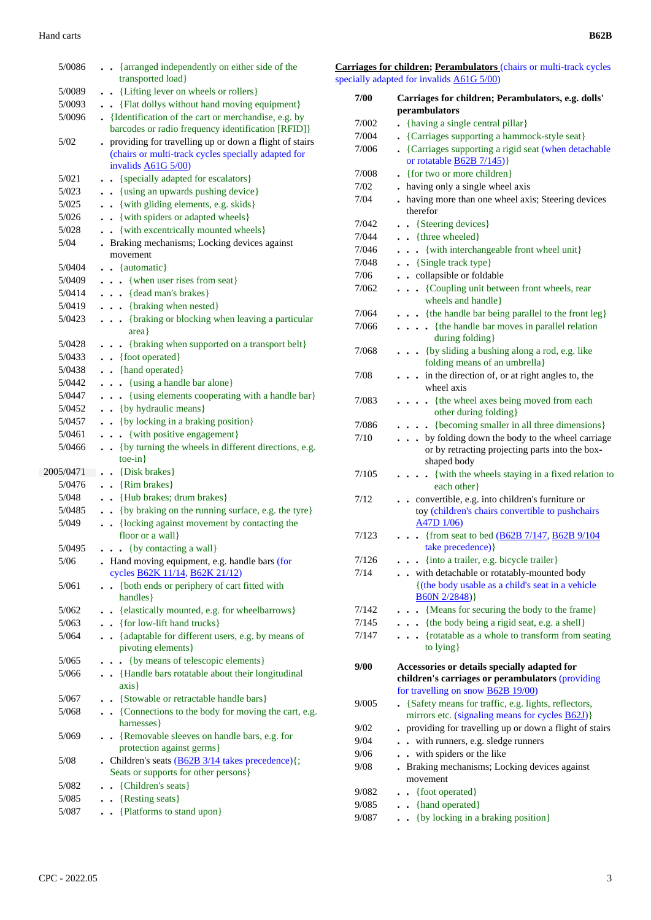| 5/0086    | . {arranged independently on either side of the                                                                                        |
|-----------|----------------------------------------------------------------------------------------------------------------------------------------|
|           | transported load}                                                                                                                      |
| 5/0089    | . . {Lifting lever on wheels or rollers}                                                                                               |
| 5/0093    | . . {Flat dollys without hand moving equipment}                                                                                        |
| 5/0096    | . {Identification of the cart or merchandise, e.g. by<br>barcodes or radio frequency identification [RFID]}                            |
| 5/02      | . providing for travelling up or down a flight of stairs<br>(chairs or multi-track cycles specially adapted for<br>invalids A61G 5/00) |
| 5/021     | {specially adapted for escalators}                                                                                                     |
| 5/023     | . . {using an upwards pushing device}                                                                                                  |
| 5/025     | . . {with gliding elements, e.g. skids}                                                                                                |
|           | . . {with spiders or adapted wheels}                                                                                                   |
| 5/026     |                                                                                                                                        |
| 5/028     | {with excentrically mounted wheels}                                                                                                    |
| 5/04      | . Braking mechanisms; Locking devices against<br>movement                                                                              |
| 5/0404    | $\bullet$ {automatic}                                                                                                                  |
| 5/0409    | $\ldots$ {when user rises from seat}                                                                                                   |
| 5/0414    | . {dead man's brakes}                                                                                                                  |
| 5/0419    | . {braking when nested}                                                                                                                |
| 5/0423    | {braking or blocking when leaving a particular<br>.<br>area }                                                                          |
| 5/0428    | {braking when supported on a transport belt}<br>.                                                                                      |
| 5/0433    | . . {foot operated}                                                                                                                    |
| 5/0438    | . . {hand operated}                                                                                                                    |
| 5/0442    | . {using a handle bar alone}                                                                                                           |
| 5/0447    | {using elements cooperating with a handle bar}<br>.                                                                                    |
| 5/0452    | . . {by hydraulic means}                                                                                                               |
| 5/0457    | . . {by locking in a braking position}                                                                                                 |
| 5/0461    | {with positive engagement}                                                                                                             |
| 5/0466    | {by turning the wheels in different directions, e.g.<br>$\ddot{\phantom{0}}$                                                           |
|           | $toe-in$ }                                                                                                                             |
| 2005/0471 | $\bullet$ {Disk brakes}                                                                                                                |
| 5/0476    | $\bullet$ {Rim brakes}                                                                                                                 |
| 5/048     | . {Hub brakes; drum brakes}                                                                                                            |
| 5/0485    | {by braking on the running surface, e.g. the tyre}                                                                                     |
| 5/049     | . {locking against movement by contacting the<br>floor or a wall}                                                                      |
| 5/0495    | $\bullet$ $\bullet$ {by contacting a wall}                                                                                             |
| 5/06      | Hand moving equipment, e.g. handle bars (for                                                                                           |
| 5/061     | cycles <b>B62K 11/14</b> , <b>B62K 21/12</b> )<br>{both ends or periphery of cart fitted with<br>$\ddot{\phantom{0}}$                  |
| 5/062     | handles }<br>{elastically mounted, e.g. for wheelbarrows}                                                                              |
| 5/063     | {for low-lift hand trucks}                                                                                                             |
| 5/064     | . {adaptable for different users, e.g. by means of                                                                                     |
|           | pivoting elements}                                                                                                                     |
| 5/065     | {by means of telescopic elements}<br>$\ddot{\phantom{0}}$                                                                              |
| 5/066     | . Handle bars rotatable about their longitudinal<br>axis                                                                               |
| 5/067     | {Stowable or retractable handle bars}                                                                                                  |
| 5/068     | • • {Connections to the body for moving the cart, e.g.<br>harnesses }                                                                  |
| 5/069     | {Removable sleeves on handle bars, e.g. for<br>protection against germs}                                                               |
| 5/08      | Children's seats $(B62B 3/14$ takes precedence) $\{$ ;<br>Seats or supports for other persons}                                         |
| 5/082     | {Children's seats}<br>$\ddot{\phantom{0}}$                                                                                             |
| 5/085     | $\bullet$ {Resting seats}                                                                                                              |
| 5/087     | . . {Platforms to stand upon}                                                                                                          |

**Carriages for children; Perambulators** (chairs or multi-track cycles specially adapted for invalids A61G 5/00)

| 7/00  | Carriages for children; Perambulators, e.g. dolls'<br>perambulators                                                                            |
|-------|------------------------------------------------------------------------------------------------------------------------------------------------|
| 7/002 | {having a single central pillar}                                                                                                               |
| 7/004 | {Carriages supporting a hammock-style seat}                                                                                                    |
| 7/006 | {Carriages supporting a rigid seat (when detachable<br>$\ddot{\phantom{0}}$<br>or rotatable $\underline{B62B}$ 7/145)}                         |
| 7/008 | • {for two or more children}                                                                                                                   |
| 7/02  | having only a single wheel axis                                                                                                                |
| 7/04  | having more than one wheel axis; Steering devices<br>therefor                                                                                  |
| 7/042 | • {Steering devices}                                                                                                                           |
| 7/044 | $\bullet$ {three wheeled}                                                                                                                      |
| 7/046 | . {with interchangeable front wheel unit}                                                                                                      |
| 7/048 | • {Single track type}                                                                                                                          |
| 7/06  | . collapsible or foldable                                                                                                                      |
| 7/062 | • • {Coupling unit between front wheels, rear<br>wheels and handle}                                                                            |
| 7/064 | {the handle bar being parallel to the front leg}                                                                                               |
| 7/066 | {the handle bar moves in parallel relation<br>$\ddot{\phantom{a}}$<br>during folding}                                                          |
| 7/068 | {by sliding a bushing along a rod, e.g. like<br>folding means of an umbrella}                                                                  |
| 7/08  | in the direction of, or at right angles to, the<br>$\ddot{\phantom{1}}$<br>wheel axis                                                          |
| 7/083 | • {the wheel axes being moved from each<br>other during folding}                                                                               |
| 7/086 | {becoming smaller in all three dimensions}<br>$\ddot{\phantom{a}}$                                                                             |
| 7/10  | by folding down the body to the wheel carriage<br>$\ddot{\phantom{0}}$<br>or by retracting projecting parts into the box-<br>shaped body       |
| 7/105 | {with the wheels staying in a fixed relation to<br>each other                                                                                  |
| 7/12  | convertible, e.g. into children's furniture or<br>$\overline{a}$<br>toy (children's chairs convertible to pushchairs<br>A47D 1/06)             |
| 7/123 | {from seat to bed (B62B 7/147, B62B 9/104<br>$\ddot{\phantom{0}}$<br>take precedence) }                                                        |
| 7/126 | {into a trailer, e.g. bicycle trailer}<br>$\bullet$ $\bullet$                                                                                  |
| 7/14  | with detachable or rotatably-mounted body<br>{(the body usable as a child's seat in a vehicle<br>B60N 2/2848) }                                |
| 7/142 | {Means for securing the body to the frame}                                                                                                     |
| 7/145 | . {the body being a rigid seat, e.g. a shell}                                                                                                  |
| 7/147 | {rotatable as a whole to transform from seating<br>$\ddot{\phantom{0}}$<br>to lying }                                                          |
| 9/00  | Accessories or details specially adapted for<br>children's carriages or perambulators (providing<br>for travelling on snow <b>B62B 19/00</b> ) |
| 9/005 | • {Safety means for traffic, e.g. lights, reflectors,<br>mirrors etc. (signaling means for cycles <b>B62J</b> )}                               |
| 9/02  | . providing for travelling up or down a flight of stairs                                                                                       |
| 9/04  | - with runners, e.g. sledge runners                                                                                                            |
| 9/06  | . with spiders or the like                                                                                                                     |
| 9/08  | Braking mechanisms; Locking devices against                                                                                                    |
|       | movement                                                                                                                                       |
| 9/082 | {foot operated}<br>$\ddot{\phantom{0}}$                                                                                                        |
| 9/085 | . . {hand operated}                                                                                                                            |
| 9/087 | {by locking in a braking position}                                                                                                             |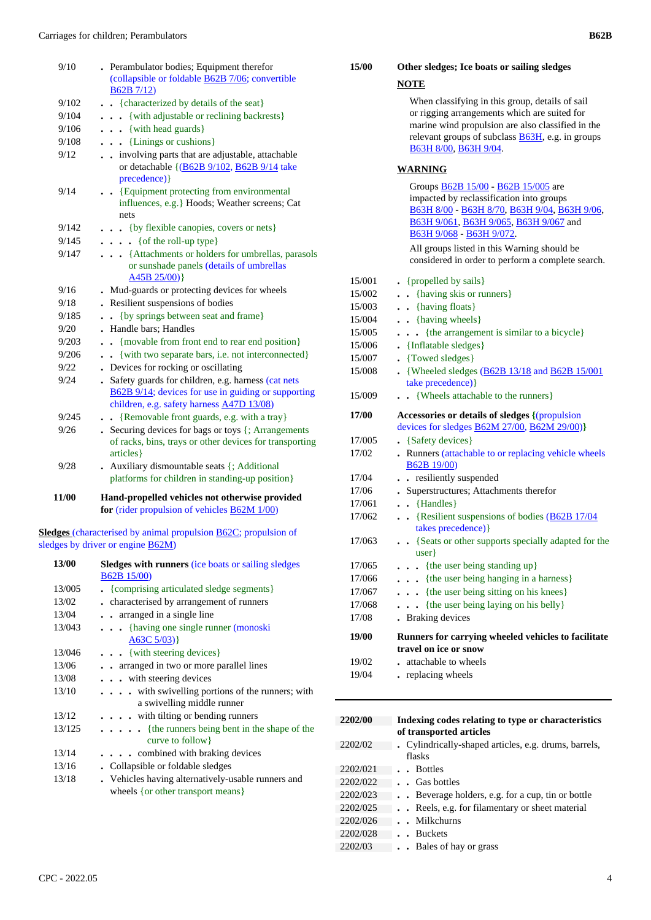| 9/10  | . Perambulator bodies; Equipment therefor<br>(collapsible or foldable B62B 7/06; convertible                                                             |
|-------|----------------------------------------------------------------------------------------------------------------------------------------------------------|
|       | <b>B62B</b> 7/12)                                                                                                                                        |
| 9/102 | {characterized by details of the seat}                                                                                                                   |
| 9/104 | {with adjustable or reclining backrests}                                                                                                                 |
| 9/106 | . . {with head guards}                                                                                                                                   |
| 9/108 | $\bullet$ $\bullet$ {Linings or cushions}                                                                                                                |
| 9/12  | involving parts that are adjustable, attachable<br>$\ddot{\phantom{0}}$<br>or detachable {(B62B 9/102, B62B 9/14 take<br>precedence) }                   |
| 9/14  | . . {Equipment protecting from environmental<br>influences, e.g.} Hoods; Weather screens; Cat<br>nets                                                    |
| 9/142 | . {by flexible canopies, covers or nets}                                                                                                                 |
| 9/145 | $\cdots$ (of the roll-up type)                                                                                                                           |
| 9/147 | {Attachments or holders for umbrellas, parasols<br>or sunshade panels (details of umbrellas<br>A45B $25/00$ }                                            |
| 9/16  | . Mud-guards or protecting devices for wheels                                                                                                            |
| 9/18  | . Resilient suspensions of bodies                                                                                                                        |
| 9/185 | . {by springs between seat and frame}                                                                                                                    |
| 9/20  | Handle bars: Handles                                                                                                                                     |
| 9/203 | {movable from front end to rear end position}                                                                                                            |
| 9/206 | {with two separate bars, i.e. not interconnected}<br>$\ddot{\phantom{a}}$                                                                                |
| 9/22  | Devices for rocking or oscillating                                                                                                                       |
| 9/24  | . Safety guards for children, e.g. harness (cat nets<br>B62B 9/14; devices for use in guiding or supporting<br>children, e.g. safety harness A47D 13/08) |
| 9/245 | {Removable front guards, e.g. with a tray}                                                                                                               |
| 9/26  | . Securing devices for bags or toys $\{$ ; Arrangements<br>of racks, bins, trays or other devices for transporting<br>articles }                         |
| 9/28  | • Auxiliary dismountable seats {; Additional<br>platforms for children in standing-up position}                                                          |
|       |                                                                                                                                                          |

 **11/00 Hand-propelled vehicles not otherwise provided for** (rider propulsion of vehicles B62M 1/00)

**Sledges** (characterised by animal propulsion B62C; propulsion of sledges by driver or engine B62M)

| 13/00  | Sledges with runners (ice boats or sailing sledges                                          |  |
|--------|---------------------------------------------------------------------------------------------|--|
|        | <b>B62B 15/00)</b>                                                                          |  |
| 13/005 | . {comprising articulated sledge segments}                                                  |  |
| 13/02  | . characterised by arrangement of runners                                                   |  |
| 13/04  | arranged in a single line                                                                   |  |
| 13/043 | $\cdots$ {having one single runner (monoski<br>A63C $5/03$ }                                |  |
| 13/046 | $\ldots$ {with steering devices}                                                            |  |
| 13/06  | arranged in two or more parallel lines                                                      |  |
| 13/08  | $\cdots$ with steering devices                                                              |  |
| 13/10  | $\cdots$ is with swivelling portions of the runners; with<br>a swivelling middle runner     |  |
| 13/12  | $\cdots$ $\cdots$ with tilting or bending runners                                           |  |
| 13/125 | $\cdots$ $\cdots$ {the runners being bent in the shape of the<br>curve to follow            |  |
| 13/14  | . combined with braking devices                                                             |  |
| 13/16  | • Collapsible or foldable sledges                                                           |  |
| 13/18  | . Vehicles having alternatively-usable runners and<br>wheels { $or other transport means$ } |  |

# **15/00 Other sledges; Ice boats or sailing sledges NOTE**

When classifying in this group, details of sail or rigging arrangements which are suited for marine wind propulsion are also classified in the relevant groups of subclass **B63H**, e.g. in groups B63H 8/00, B63H 9/04.

### **WARNING**

|                | WARNING                                                                                                                                                                                                                                                                                                                 |
|----------------|-------------------------------------------------------------------------------------------------------------------------------------------------------------------------------------------------------------------------------------------------------------------------------------------------------------------------|
|                | Groups <b>B62B</b> 15/00 - <b>B62B</b> 15/005 are<br>impacted by reclassification into groups<br>В63Н 8/00 - В63Н 8/70, В63Н 9/04, В63Н 9/06,<br>B63H 9/061, B63H 9/065, B63H 9/067 and<br>B63H 9/068 - B63H 9/072.<br>All groups listed in this Warning should be<br>considered in order to perform a complete search. |
| 15/001         | $\bullet$ {propelled by sails}                                                                                                                                                                                                                                                                                          |
| 15/002         | . { having skis or runners }                                                                                                                                                                                                                                                                                            |
| 15/003         | . . {having floats}                                                                                                                                                                                                                                                                                                     |
| 15/004         | . . {having wheels}                                                                                                                                                                                                                                                                                                     |
| 15/005         | . {the arrangement is similar to a bicycle}                                                                                                                                                                                                                                                                             |
| 15/006         | . {Inflatable sledges}                                                                                                                                                                                                                                                                                                  |
| 15/007         | . {Towed sledges}                                                                                                                                                                                                                                                                                                       |
| 15/008         | $\bullet$ {Wheeled sledges ( $\underline{B62B}$ 13/18 and $\underline{B62B}$ 15/001                                                                                                                                                                                                                                     |
|                | take precedence) }                                                                                                                                                                                                                                                                                                      |
| 15/009         | . . {Wheels attachable to the runners}                                                                                                                                                                                                                                                                                  |
| 17/00          | Accessories or details of sledges {(propulsion                                                                                                                                                                                                                                                                          |
|                | devices for sledges <b>B62M 27/00</b> , <b>B62M 29/00</b> )}                                                                                                                                                                                                                                                            |
| 17/005         | • {Safety devices}                                                                                                                                                                                                                                                                                                      |
| 17/02          | . Runners (attachable to or replacing vehicle wheels<br>B62B 19/00)                                                                                                                                                                                                                                                     |
| 17/04          | resiliently suspended<br>$\ddot{\phantom{a}}$                                                                                                                                                                                                                                                                           |
| 17/06          | . Superstructures; Attachments therefor                                                                                                                                                                                                                                                                                 |
| 17/061         | {Handles}<br>$\ddot{\phantom{0}}$                                                                                                                                                                                                                                                                                       |
| 17/062         | . . {Resilient suspensions of bodies (B62B 17/04)<br>takes precedence) }                                                                                                                                                                                                                                                |
| 17/063         | • {Seats or other supports specially adapted for the<br>user                                                                                                                                                                                                                                                            |
| 17/065         | . {the user being standing up}                                                                                                                                                                                                                                                                                          |
| 17/066         | . {the user being hanging in a harness}                                                                                                                                                                                                                                                                                 |
| 17/067         | {the user being sitting on his knees}                                                                                                                                                                                                                                                                                   |
| 17/068         | $\bullet$ $\bullet$ {the user being laying on his belly}                                                                                                                                                                                                                                                                |
| 17/08          | . Braking devices                                                                                                                                                                                                                                                                                                       |
| 19/00          | Runners for carrying wheeled vehicles to facilitate<br>travel on ice or snow                                                                                                                                                                                                                                            |
| 19/02          | attachable to wheels                                                                                                                                                                                                                                                                                                    |
| 19/04          | replacing wheels                                                                                                                                                                                                                                                                                                        |
| <b>2202/00</b> | Indexing codes relating to type or characteristics<br>of transported articles                                                                                                                                                                                                                                           |
| 2202/02        | Cylindrically-shaped articles, e.g. drums, barrels,                                                                                                                                                                                                                                                                     |

|          | flasks                                          |
|----------|-------------------------------------------------|
| 2202/021 | Bottles                                         |
| 2202/022 | Gas bottles                                     |
| 2202/023 | Beverage holders, e.g. for a cup, tin or bottle |
| 2202/025 | Reels, e.g. for filamentary or sheet material   |
| 2202/026 | Milkchurns                                      |
| 2202/028 | . . Buckets                                     |
| 2202/03  | Bales of hay or grass                           |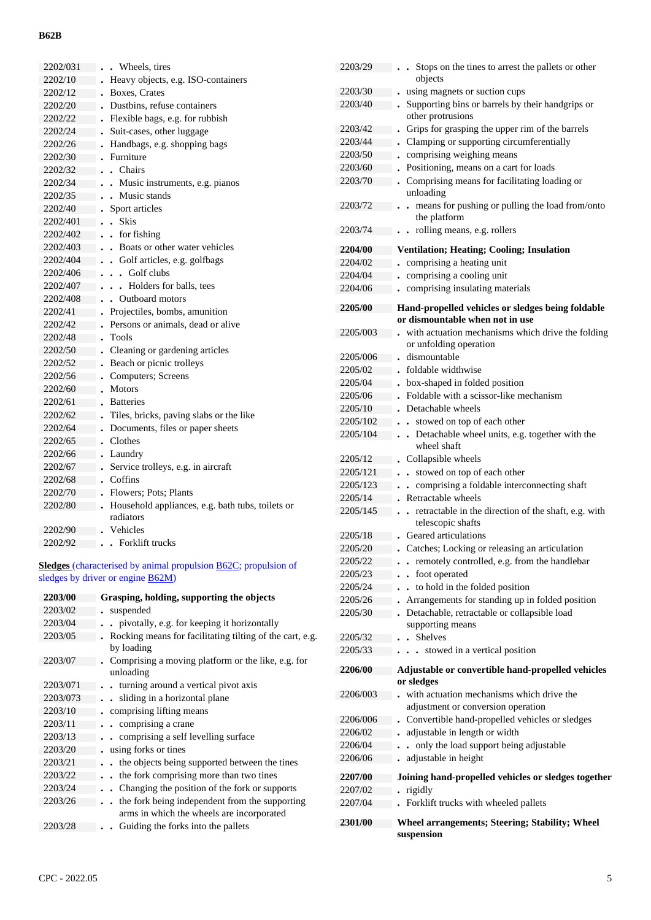#### **B62B**

| 2202/031 | . Wheels, tires                                                                | 2203/29  | Stops on the tines to arrest the pallets or other    |
|----------|--------------------------------------------------------------------------------|----------|------------------------------------------------------|
| 2202/10  | Heavy objects, e.g. ISO-containers                                             |          | objects                                              |
| 2202/12  | . Boxes, Crates                                                                | 2203/30  | using magnets or suction cups                        |
| 2202/20  | • Dustbins, refuse containers                                                  | 2203/40  | Supporting bins or barrels by their handgrips or     |
| 2202/22  | Flexible bags, e.g. for rubbish                                                |          | other protrusions                                    |
| 2202/24  | Suit-cases, other luggage                                                      | 2203/42  | Grips for grasping the upper rim of the barrels      |
| 2202/26  | Handbags, e.g. shopping bags                                                   | 2203/44  | Clamping or supporting circumferentially             |
| 2202/30  | . Furniture                                                                    | 2203/50  | comprising weighing means                            |
| 2202/32  | . . Chairs                                                                     | 2203/60  | Positioning, means on a cart for loads               |
| 2202/34  | . Music instruments, e.g. pianos                                               | 2203/70  | Comprising means for facilitating loading or         |
| 2202/35  | Music stands                                                                   |          | unloading                                            |
| 2202/40  | . Sport articles                                                               | 2203/72  | means for pushing or pulling the load from/onto      |
| 2202/401 | . . Skis                                                                       |          | the platform                                         |
| 2202/402 | . . for fishing                                                                | 2203/74  | rolling means, e.g. rollers                          |
| 2202/403 | . Boats or other water vehicles                                                | 2204/00  | <b>Ventilation; Heating; Cooling; Insulation</b>     |
| 2202/404 | . Golf articles, e.g. golfbags                                                 | 2204/02  | comprising a heating unit                            |
| 2202/406 | $\ldots$ Golf clubs                                                            | 2204/04  | comprising a cooling unit                            |
| 2202/407 | . Holders for balls, tees                                                      | 2204/06  | comprising insulating materials                      |
| 2202/408 | . . Outboard motors                                                            |          |                                                      |
| 2202/41  | . Projectiles, bombs, amunition                                                | 2205/00  | Hand-propelled vehicles or sledges being foldable    |
| 2202/42  | . Persons or animals, dead or alive                                            |          | or dismountable when not in use                      |
| 2202/48  | . Tools                                                                        | 2205/003 | with actuation mechanisms which drive the folding    |
| 2202/50  | . Cleaning or gardening articles                                               |          | or unfolding operation                               |
| 2202/52  | Beach or picnic trolleys                                                       | 2205/006 | dismountable                                         |
| 2202/56  | Computers; Screens                                                             | 2205/02  | foldable widthwise                                   |
| 2202/60  | Motors                                                                         | 2205/04  | box-shaped in folded position                        |
| 2202/61  | <b>Batteries</b>                                                               | 2205/06  | Foldable with a scissor-like mechanism               |
| 2202/62  | Tiles, bricks, paving slabs or the like                                        | 2205/10  | Detachable wheels                                    |
| 2202/64  | Documents, files or paper sheets                                               | 2205/102 | . stowed on top of each other                        |
| 2202/65  | . Clothes                                                                      | 2205/104 | Detachable wheel units, e.g. together with the       |
| 2202/66  | • Laundry                                                                      |          | wheel shaft                                          |
| 2202/67  | Service trolleys, e.g. in aircraft                                             | 2205/12  | . Collapsible wheels                                 |
| 2202/68  | . Coffins                                                                      | 2205/121 | stowed on top of each other                          |
| 2202/70  | Flowers; Pots; Plants                                                          | 2205/123 | • comprising a foldable interconnecting shaft        |
| 2202/80  | Household appliances, e.g. bath tubs, toilets or                               | 2205/14  | Retractable wheels                                   |
|          | radiators                                                                      | 2205/145 | retractable in the direction of the shaft, e.g. with |
| 2202/90  | . Vehicles                                                                     |          | telescopic shafts                                    |
| 2202/92  | Forklift trucks                                                                | 2205/18  | • Geared articulations                               |
|          |                                                                                | 2205/20  | • Catches; Locking or releasing an articulation      |
|          | <b>Sledges</b> (characterised by animal propulsion <b>B62C</b> ; propulsion of | 2205/22  | remotely controlled, e.g. from the handlebar         |
|          | sledges by driver or engine <b>B62M</b> )                                      | 2205/23  | . foot operated                                      |
|          |                                                                                | 2205/24  | to hold in the folded position                       |
| 2203/00  | Grasping, holding, supporting the objects                                      | 2205/26  | Arrangements for standing up in folded position      |
| 2203/02  | suspended                                                                      | 2205/30  | Detachable, retractable or collapsible load          |
| 2203/04  | pivotally, e.g. for keeping it horizontally                                    |          | supporting means                                     |

2205/32 **. .** Shelves

2205/33 **. . .** stowed in a vertical position

**or sledges**

2206/06 **.** adjustable in height

**suspension**

2207/02 **.** rigidly

2206/02 **.** adjustable in length or width

 **2206/00 Adjustable or convertible hand-propelled vehicles**

 **2207/00 Joining hand-propelled vehicles or sledges together**

 **2301/00 Wheel arrangements; Steering; Stability; Wheel**

 2206/003 **.** with actuation mechanisms which drive the adjustment or conversion operation 2206/006 **.** Convertible hand-propelled vehicles or sledges

2206/04 **. .** only the load support being adjustable

2207/04 **.** Forklift trucks with wheeled pallets

| <i>--</i> --- | $\bullet$ productly, e.g. for recoping it horizontally     |
|---------------|------------------------------------------------------------|
| 2203/05       | . Rocking means for facilitating tilting of the cart, e.g. |
|               | by loading                                                 |
| 2203/07       | • Comprising a moving platform or the like, e.g. for       |
|               | unloading                                                  |
| 2203/071      | turning around a vertical pivot axis                       |
| 2203/073      | sliding in a horizontal plane                              |
| 2203/10       | . comprising lifting means                                 |
| 2203/11       | $\cdot$ $\cdot$ comprising a crane                         |
| 2203/13       | . . comprising a self levelling surface                    |
| 2203/20       | . using forks or tines                                     |
| 2203/21       | the objects being supported between the tines              |
| 2203/22       | the fork comprising more than two tines                    |
| 2203/24       | Changing the position of the fork or supports              |
| 2203/26       | the fork being independent from the supporting             |
|               | arms in which the wheels are incorporated                  |
| 2203/28       | Guiding the forks into the pallets                         |
|               |                                                            |